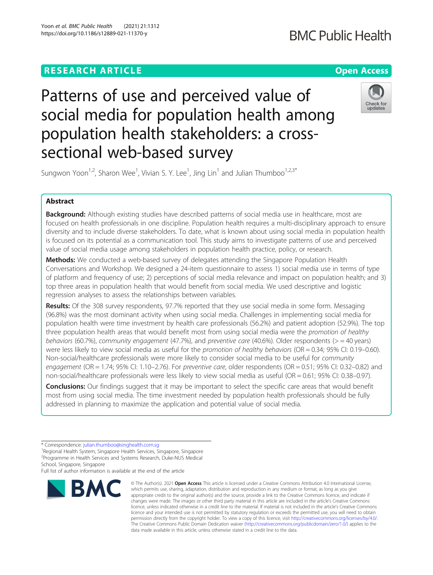### **RESEARCH ARTICLE Example 2014 12:30 The Company Access** (COMPANY) **Open Access**

## **BMC Public Health**

# Patterns of use and perceived value of social media for population health among population health stakeholders: a crosssectional web-based survey



Sungwon Yoon<sup>1,2</sup>, Sharon Wee<sup>1</sup>, Vivian S. Y. Lee<sup>1</sup>, Jing Lin<sup>1</sup> and Julian Thumboo<sup>1,2,3\*</sup>

### Abstract

**Background:** Although existing studies have described patterns of social media use in healthcare, most are focused on health professionals in one discipline. Population health requires a multi-disciplinary approach to ensure diversity and to include diverse stakeholders. To date, what is known about using social media in population health is focused on its potential as a communication tool. This study aims to investigate patterns of use and perceived value of social media usage among stakeholders in population health practice, policy, or research.

Methods: We conducted a web-based survey of delegates attending the Singapore Population Health Conversations and Workshop. We designed a 24-item questionnaire to assess 1) social media use in terms of type of platform and frequency of use; 2) perceptions of social media relevance and impact on population health; and 3) top three areas in population health that would benefit from social media. We used descriptive and logistic regression analyses to assess the relationships between variables.

Results: Of the 308 survey respondents, 97.7% reported that they use social media in some form. Messaging (96.8%) was the most dominant activity when using social media. Challenges in implementing social media for population health were time investment by health care professionals (56.2%) and patient adoption (52.9%). The top three population health areas that would benefit most from using social media were the promotion of healthy behaviors (60.7%), community engagement (47.7%), and preventive care (40.6%). Older respondents (> = 40 years) were less likely to view social media as useful for the promotion of healthy behaviors ( $OR = 0.34$ ; 95% CI: 0.19–0.60). Non-social/healthcare professionals were more likely to consider social media to be useful for community engagement (OR = 1.74; 95% CI: 1.10–2.76). For preventive care, older respondents (OR = 0.51; 95% CI: 0.32–0.82) and non-social/healthcare professionals were less likely to view social media as useful (OR = 0.61; 95% CI: 0.38–0.97).

**Conclusions:** Our findings suggest that it may be important to select the specific care areas that would benefit most from using social media. The time investment needed by population health professionals should be fully addressed in planning to maximize the application and potential value of social media.

Full list of author information is available at the end of the article



<sup>©</sup> The Author(s), 2021 **Open Access** This article is licensed under a Creative Commons Attribution 4.0 International License, which permits use, sharing, adaptation, distribution and reproduction in any medium or format, as long as you give appropriate credit to the original author(s) and the source, provide a link to the Creative Commons licence, and indicate if changes were made. The images or other third party material in this article are included in the article's Creative Commons licence, unless indicated otherwise in a credit line to the material. If material is not included in the article's Creative Commons licence and your intended use is not permitted by statutory regulation or exceeds the permitted use, you will need to obtain permission directly from the copyright holder. To view a copy of this licence, visit [http://creativecommons.org/licenses/by/4.0/.](http://creativecommons.org/licenses/by/4.0/) The Creative Commons Public Domain Dedication waiver [\(http://creativecommons.org/publicdomain/zero/1.0/](http://creativecommons.org/publicdomain/zero/1.0/)) applies to the data made available in this article, unless otherwise stated in a credit line to the data.

<sup>\*</sup> Correspondence: [julian.thumboo@singhealth.com.sg](mailto:julian.thumboo@singhealth.com.sg) <sup>1</sup>

<sup>&</sup>lt;sup>1</sup>Regional Health System, Singapore Health Services, Singapore, Singapore 2 Programme in Health Services and Systems Research, Duke-NUS Medical School, Singapore, Singapore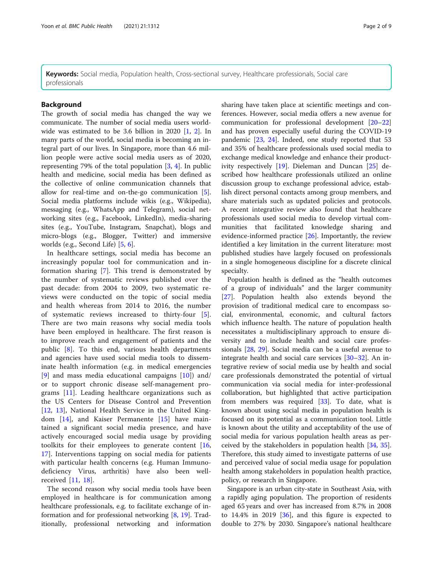Keywords: Social media, Population health, Cross-sectional survey, Healthcare professionals, Social care professionals

#### Background

The growth of social media has changed the way we communicate. The number of social media users worldwide was estimated to be 3.6 billion in 2020 [[1,](#page-7-0) [2](#page-7-0)]. In many parts of the world, social media is becoming an integral part of our lives. In Singapore, more than 4.6 million people were active social media users as of 2020, representing 79% of the total population [[3,](#page-7-0) [4\]](#page-7-0). In public health and medicine, social media has been defined as the collective of online communication channels that allow for real-time and on-the-go communication [\[5](#page-7-0)]. Social media platforms include wikis (e.g., Wikipedia), messaging (e.g., WhatsApp and Telegram), social networking sites (e.g., Facebook, LinkedIn), media-sharing sites (e.g., YouTube, Instagram, Snapchat), blogs and micro-blogs (e.g., Blogger, Twitter) and immersive worlds (e.g., Second Life) [[5,](#page-7-0) [6\]](#page-7-0).

In healthcare settings, social media has become an increasingly popular tool for communication and information sharing [[7](#page-7-0)]. This trend is demonstrated by the number of systematic reviews published over the past decade: from 2004 to 2009, two systematic reviews were conducted on the topic of social media and health whereas from 2014 to 2016, the number of systematic reviews increased to thirty-four [\[5](#page-7-0)]. There are two main reasons why social media tools have been employed in healthcare. The first reason is to improve reach and engagement of patients and the public [[8\]](#page-7-0). To this end, various health departments and agencies have used social media tools to disseminate health information (e.g. in medical emergencies [[9\]](#page-7-0) and mass media educational campaigns [[10\]](#page-7-0)) and/ or to support chronic disease self-management programs [\[11](#page-7-0)]. Leading healthcare organizations such as the US Centers for Disease Control and Prevention [[12,](#page-7-0) [13\]](#page-7-0), National Health Service in the United Kingdom [\[14](#page-7-0)], and Kaiser Permanente [[15\]](#page-7-0) have maintained a significant social media presence, and have actively encouraged social media usage by providing toolkits for their employees to generate content [\[16](#page-7-0), [17\]](#page-7-0). Interventions tapping on social media for patients with particular health concerns (e.g. Human Immunodeficiency Virus, arthritis) have also been wellreceived [\[11](#page-7-0), [18](#page-7-0)].

The second reason why social media tools have been employed in healthcare is for communication among healthcare professionals, e.g. to facilitate exchange of information and for professional networking [\[8](#page-7-0), [19\]](#page-7-0). Traditionally, professional networking and information sharing have taken place at scientific meetings and conferences. However, social media offers a new avenue for communication for professional development [[20](#page-7-0)–[22](#page-7-0)] and has proven especially useful during the COVID-19 pandemic [\[23](#page-7-0), [24](#page-7-0)]. Indeed, one study reported that 53 and 35% of healthcare professionals used social media to exchange medical knowledge and enhance their productivity respectively [[19](#page-7-0)]. Dieleman and Duncan [\[25](#page-7-0)] described how healthcare professionals utilized an online discussion group to exchange professional advice, establish direct personal contacts among group members, and share materials such as updated policies and protocols. A recent integrative review also found that healthcare professionals used social media to develop virtual communities that facilitated knowledge sharing and evidence-informed practice  $[26]$  $[26]$ . Importantly, the review identified a key limitation in the current literature: most published studies have largely focused on professionals in a single homogeneous discipline for a discrete clinical specialty.

Population health is defined as the "health outcomes of a group of individuals" and the larger community [[27\]](#page-8-0). Population health also extends beyond the provision of traditional medical care to encompass social, environmental, economic, and cultural factors which influence health. The nature of population health necessitates a multidisciplinary approach to ensure diversity and to include health and social care professionals [\[28](#page-8-0), [29\]](#page-8-0). Social media can be a useful avenue to integrate health and social care services [[30](#page-8-0)–[32](#page-8-0)]. An integrative review of social media use by health and social care professionals demonstrated the potential of virtual communication via social media for inter-professional collaboration, but highlighted that active participation from members was required [[33](#page-8-0)]. To date, what is known about using social media in population health is focused on its potential as a communication tool. Little is known about the utility and acceptability of the use of social media for various population health areas as perceived by the stakeholders in population health [\[34,](#page-8-0) [35](#page-8-0)]. Therefore, this study aimed to investigate patterns of use and perceived value of social media usage for population health among stakeholders in population health practice, policy, or research in Singapore.

Singapore is an urban city-state in Southeast Asia, with a rapidly aging population. The proportion of residents aged 65 years and over has increased from 8.7% in 2008 to  $14.4\%$  in 2019 [\[36](#page-8-0)], and this figure is expected to double to 27% by 2030. Singapore's national healthcare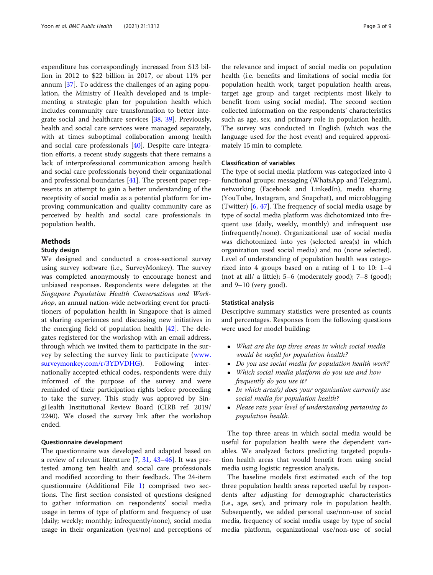expenditure has correspondingly increased from \$13 billion in 2012 to \$22 billion in 2017, or about 11% per annum [\[37](#page-8-0)]. To address the challenges of an aging population, the Ministry of Health developed and is implementing a strategic plan for population health which includes community care transformation to better integrate social and healthcare services [[38](#page-8-0), [39](#page-8-0)]. Previously, health and social care services were managed separately, with at times suboptimal collaboration among health and social care professionals [[40](#page-8-0)]. Despite care integration efforts, a recent study suggests that there remains a lack of interprofessional communication among health and social care professionals beyond their organizational and professional boundaries [[41](#page-8-0)]. The present paper represents an attempt to gain a better understanding of the receptivity of social media as a potential platform for improving communication and quality community care as perceived by health and social care professionals in population health.

#### Methods

#### Study design

We designed and conducted a cross-sectional survey using survey software (i.e., SurveyMonkey). The survey was completed anonymously to encourage honest and unbiased responses. Respondents were delegates at the Singapore Population Health Conversations and Workshop, an annual nation-wide networking event for practitioners of population health in Singapore that is aimed at sharing experiences and discussing new initiatives in the emerging field of population health [[42](#page-8-0)]. The delegates registered for the workshop with an email address, through which we invited them to participate in the survey by selecting the survey link to participate ([www.](http://www.surveymonkey.com/r/3YDVDHG) [surveymonkey.com/r/3YDVDHG\)](http://www.surveymonkey.com/r/3YDVDHG). Following internationally accepted ethical codes, respondents were duly informed of the purpose of the survey and were reminded of their participation rights before proceeding to take the survey. This study was approved by SingHealth Institutional Review Board (CIRB ref. 2019/ 2240). We closed the survey link after the workshop ended.

#### Questionnaire development

The questionnaire was developed and adapted based on a review of relevant literature [\[7](#page-7-0), [31,](#page-8-0) [43](#page-8-0)–[46\]](#page-8-0). It was pretested among ten health and social care professionals and modified according to their feedback. The 24-item questionnaire (Additional File [1\)](#page-7-0) comprised two sections. The first section consisted of questions designed to gather information on respondents' social media usage in terms of type of platform and frequency of use (daily; weekly; monthly; infrequently/none), social media usage in their organization (yes/no) and perceptions of

the relevance and impact of social media on population health (i.e. benefits and limitations of social media for population health work, target population health areas, target age group and target recipients most likely to benefit from using social media). The second section collected information on the respondents' characteristics such as age, sex, and primary role in population health. The survey was conducted in English (which was the language used for the host event) and required approximately 15 min to complete.

#### Classification of variables

The type of social media platform was categorized into 4 functional groups: messaging (WhatsApp and Telegram), networking (Facebook and LinkedIn), media sharing (YouTube, Instagram, and Snapchat), and microblogging (Twitter) [[6,](#page-7-0) [47\]](#page-8-0). The frequency of social media usage by type of social media platform was dichotomized into frequent use (daily, weekly, monthly) and infrequent use (infrequently/none). Organizational use of social media was dichotomized into yes (selected area(s) in which organization used social media) and no (none selected). Level of understanding of population health was categorized into 4 groups based on a rating of 1 to 10: 1–4 (not at all/ a little); 5–6 (moderately good); 7–8 (good); and 9–10 (very good).

#### Statistical analysis

Descriptive summary statistics were presented as counts and percentages. Responses from the following questions were used for model building:

- What are the top three areas in which social media would be useful for population health?
- Do you use social media for population health work?
- Which social media platform do you use and how frequently do you use it?
- In which area(s) does your organization currently use social media for population health?
- Please rate your level of understanding pertaining to population health.

The top three areas in which social media would be useful for population health were the dependent variables. We analyzed factors predicting targeted population health areas that would benefit from using social media using logistic regression analysis.

The baseline models first estimated each of the top three population health areas reported useful by respondents after adjusting for demographic characteristics (i.e., age, sex), and primary role in population health. Subsequently, we added personal use/non-use of social media, frequency of social media usage by type of social media platform, organizational use/non-use of social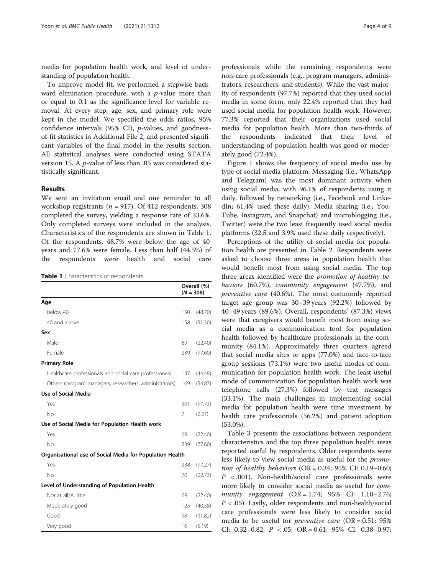media for population health work, and level of understanding of population health.

To improve model fit, we performed a stepwise backward elimination procedure, with a  $p$ -value more than or equal to 0.1 as the significance level for variable removal. At every step, age, sex, and primary role were kept in the model. We specified the odds ratios, 95% confidence intervals (95% CI), p-values, and goodnessof-fit statistics in Additional File [2,](#page-7-0) and presented significant variables of the final model in the results section. All statistical analyses were conducted using STATA version 15. A p-value of less than .05 was considered statistically significant.

#### Results

We sent an invitation email and one reminder to all workshop registrants ( $n = 917$ ). Of 412 respondents, 308 completed the survey, yielding a response rate of 33.6%. Only completed surveys were included in the analysis. Characteristics of the respondents are shown in Table 1. Of the respondents, 48.7% were below the age of 40 years and 77.6% were female. Less than half (44.5%) of the respondents were health and social care

Table 1 Characteristics of respondents

|                                                          |     | Overall (%)<br>$(N = 308)$ |  |  |  |
|----------------------------------------------------------|-----|----------------------------|--|--|--|
| Age                                                      |     |                            |  |  |  |
| below 40                                                 | 150 | (48.70)                    |  |  |  |
| 40 and above                                             | 158 | (51.30)                    |  |  |  |
| Sex                                                      |     |                            |  |  |  |
| Male                                                     | 69  | (22.40)                    |  |  |  |
| Female                                                   | 239 | (77.60)                    |  |  |  |
| <b>Primary Role</b>                                      |     |                            |  |  |  |
| Healthcare professionals and social care professionals   | 137 | (44.48)                    |  |  |  |
| Others (program managers, researchers, administrators)   | 169 | (54.87)                    |  |  |  |
| Use of Social Media                                      |     |                            |  |  |  |
| Yes                                                      | 301 | (97.73)                    |  |  |  |
| No                                                       | 7   | (2.27)                     |  |  |  |
| Use of Social Media for Population Health work           |     |                            |  |  |  |
| Yes                                                      | 69  | (22.40)                    |  |  |  |
| <b>No</b>                                                | 239 | (77.60)                    |  |  |  |
| Organisational use of Social Media for Population Health |     |                            |  |  |  |
| Yes                                                      | 238 | (77.27)                    |  |  |  |
| <b>No</b>                                                | 70  | (22.73)                    |  |  |  |
| Level of Understanding of Population Health              |     |                            |  |  |  |
| Not at all/A little                                      | 69  | (22.40)                    |  |  |  |
| Moderately good                                          | 125 | (40.58)                    |  |  |  |
| Good                                                     | 98  | (31.82)                    |  |  |  |
| Very good                                                | 16  | (5.19)                     |  |  |  |

professionals while the remaining respondents were non-care professionals (e.g., program managers, administrators, researchers, and students). While the vast majority of respondents (97.7%) reported that they used social media in some form, only 22.4% reported that they had used social media for population health work. However, 77.3% reported that their organizations used social media for population health. More than two-thirds of the respondents indicated that their level of understanding of population health was good or moderately good (72.4%).

Figure [1](#page-4-0) shows the frequency of social media use by type of social media platform. Messaging (i.e., WhatsApp and Telegram) was the most dominant activity when using social media, with 96.1% of respondents using it daily, followed by networking (i.e., Facebook and LinkedIn; 61.4% used these daily). Media sharing (i.e., You-Tube, Instagram, and Snapchat) and microblogging (i.e., Twitter) were the two least frequently used social media platforms (32.5 and 3.9% used these daily respectively).

Perceptions of the utility of social media for population health are presented in Table [2](#page-5-0). Respondents were asked to choose three areas in population health that would benefit most from using social media. The top three areas identified were the promotion of healthy behaviors (60.7%), community engagement (47.7%), and preventive care (40.6%). The most commonly reported target age group was 30–39 years (92.2%) followed by 40–49 years (89.6%). Overall, respondents' (87.3%) views were that caregivers would benefit most from using social media as a communication tool for population health followed by healthcare professionals in the community (84.1%). Approximately three quarters agreed that social media sites or apps (77.0%) and face-to-face group sessions (73.1%) were two useful modes of communication for population health work. The least useful mode of communication for population health work was telephone calls (27.3%) followed by text messages (33.1%). The main challenges in implementing social media for population health were time investment by health care professionals (56.2%) and patient adoption (53.0%).

Table [3](#page-6-0) presents the associations between respondent characteristics and the top three population health areas reported useful by respondents. Older respondents were less likely to view social media as useful for the promotion of healthy behaviors ( $OR = 0.34$ ; 95% CI: 0.19-0.60;  $P < .001$ ). Non-health/social care professionals were more likely to consider social media as useful for community engagement (OR = 1.74; 95% CI: 1.10–2.76;  $P < .05$ ). Lastly, older respondents and non-health/social care professionals were less likely to consider social media to be useful for *preventive care* ( $OR = 0.51$ ; 95% CI: 0.32–0.82;  $P < .05$ ; OR = 0.61; 95% CI: 0.38–0.97;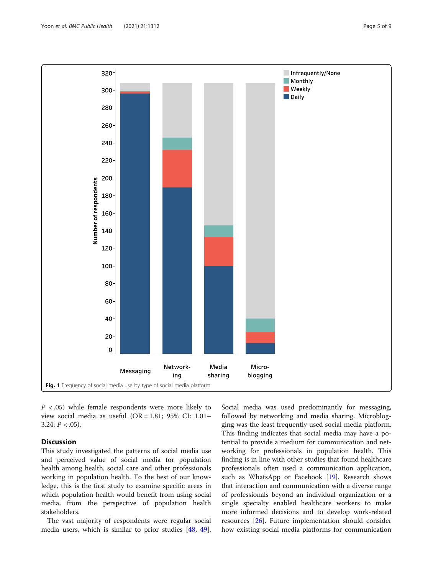<span id="page-4-0"></span>

 $P < .05$ ) while female respondents were more likely to view social media as useful (OR = 1.81; 95% CI: 1.01– 3.24;  $P < .05$ ).

#### **Discussion**

This study investigated the patterns of social media use and perceived value of social media for population health among health, social care and other professionals working in population health. To the best of our knowledge, this is the first study to examine specific areas in which population health would benefit from using social media, from the perspective of population health stakeholders.

The vast majority of respondents were regular social media users, which is similar to prior studies [[48,](#page-8-0) [49](#page-8-0)].

Social media was used predominantly for messaging, followed by networking and media sharing. Microblogging was the least frequently used social media platform. This finding indicates that social media may have a potential to provide a medium for communication and networking for professionals in population health. This finding is in line with other studies that found healthcare professionals often used a communication application, such as WhatsApp or Facebook [[19\]](#page-7-0). Research shows that interaction and communication with a diverse range of professionals beyond an individual organization or a single specialty enabled healthcare workers to make more informed decisions and to develop work-related resources [\[26\]](#page-8-0). Future implementation should consider how existing social media platforms for communication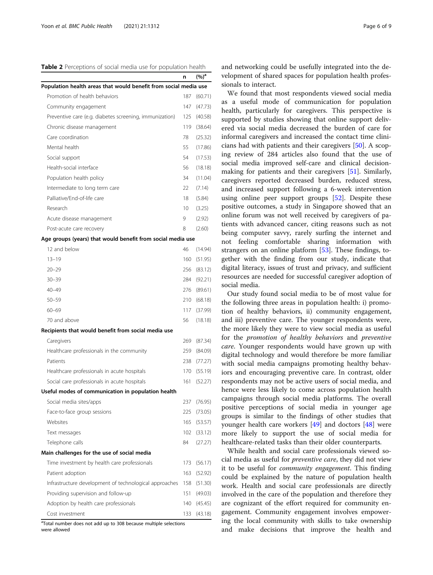<span id="page-5-0"></span>Table 2 Perceptions of social media use for population health

|                                                                  | n   | $(%)^a$ |
|------------------------------------------------------------------|-----|---------|
| Population health areas that would benefit from social media use |     |         |
| Promotion of health behaviors                                    | 187 | (60.71) |
| Community engagement                                             | 147 | (47.73) |
| Preventive care (e.g. diabetes screening, immunization)          | 125 | (40.58) |
| Chronic disease management                                       | 119 | (38.64) |
| Care coordination                                                | 78  | (25.32) |
| Mental health                                                    | 55  | (17.86) |
| Social support                                                   | 54  | (17.53) |
| Health-social interface                                          | 56  | (18.18) |
| Population health policy                                         | 34  | (11.04) |
| Intermediate to long term care                                   | 22  | (7.14)  |
| Palliative/End-of-life care                                      | 18  | (5.84)  |
| Research                                                         | 10  | (3.25)  |
| Acute disease management                                         | 9   | (2.92)  |
| Post-acute care recovery                                         | 8   | (2.60)  |
| Age groups (years) that would benefit from social media use      |     |         |
| 12 and below                                                     | 46  | (14.94) |
| $13 - 19$                                                        | 160 | (51.95) |
| $20 - 29$                                                        | 256 | (83.12) |
| $30 - 39$                                                        | 284 | (92.21) |
| 40-49                                                            | 276 | (89.61) |
| $50 - 59$                                                        | 210 | (68.18) |
| $60 - 69$                                                        | 117 | (37.99) |
| 70 and above                                                     | 56  | (18.18) |
| Recipients that would benefit from social media use              |     |         |
| Caregivers                                                       | 269 | (87.34) |
| Healthcare professionals in the community                        | 259 | (84.09) |
| Patients                                                         | 238 | (77.27) |
| Healthcare professionals in acute hospitals                      | 170 | (55.19) |
| Social care professionals in acute hospitals                     | 161 | (52.27) |
| Useful modes of communication in population health               |     |         |
| Social media sites/apps                                          | 237 | (76.95) |
| Face-to-face group sessions                                      | 225 | (73.05) |
| Websites                                                         | 165 | (53.57) |
| Text messages                                                    | 102 | (33.12) |
| Telephone calls                                                  | 84  | (27.27) |
| Main challenges for the use of social media                      |     |         |
| Time investment by health care professionals                     | 173 | (56.17) |
| Patient adoption                                                 | 163 | (52.92) |

| Patient adoption                                                   | 105 132.YZI |
|--------------------------------------------------------------------|-------------|
| Infrastructure development of technological approaches 158 (51.30) |             |
| Providing supervision and follow-up                                | 151 (49.03) |
| Adoption by health care professionals                              | 140 (45.45) |
| Cost investment                                                    | 133 (43.18) |

<sup>a</sup>Total number does not add up to 308 because multiple selections

were allowed

and networking could be usefully integrated into the development of shared spaces for population health professionals to interact.

We found that most respondents viewed social media as a useful mode of communication for population health, particularly for caregivers. This perspective is supported by studies showing that online support delivered via social media decreased the burden of care for informal caregivers and increased the contact time clinicians had with patients and their caregivers [[50](#page-8-0)]. A scoping review of 284 articles also found that the use of social media improved self-care and clinical decisionmaking for patients and their caregivers [\[51](#page-8-0)]. Similarly, caregivers reported decreased burden, reduced stress, and increased support following a 6-week intervention using online peer support groups [\[52](#page-8-0)]. Despite these positive outcomes, a study in Singapore showed that an online forum was not well received by caregivers of patients with advanced cancer, citing reasons such as not being computer savvy, rarely surfing the internet and not feeling comfortable sharing information with strangers on an online platform [\[53](#page-8-0)]. These findings, together with the finding from our study, indicate that digital literacy, issues of trust and privacy, and sufficient resources are needed for successful caregiver adoption of social media.

Our study found social media to be of most value for the following three areas in population health: i) promotion of healthy behaviors, ii) community engagement, and iii) preventive care. The younger respondents were, the more likely they were to view social media as useful for the promotion of healthy behaviors and preventive care. Younger respondents would have grown up with digital technology and would therefore be more familiar with social media campaigns promoting healthy behaviors and encouraging preventive care. In contrast, older respondents may not be active users of social media, and hence were less likely to come across population health campaigns through social media platforms. The overall positive perceptions of social media in younger age groups is similar to the findings of other studies that younger health care workers [[49\]](#page-8-0) and doctors [[48](#page-8-0)] were more likely to support the use of social media for healthcare-related tasks than their older counterparts.

While health and social care professionals viewed social media as useful for preventive care, they did not view it to be useful for community engagement. This finding could be explained by the nature of population health work. Health and social care professionals are directly involved in the care of the population and therefore they are cognizant of the effort required for community engagement. Community engagement involves empowering the local community with skills to take ownership and make decisions that improve the health and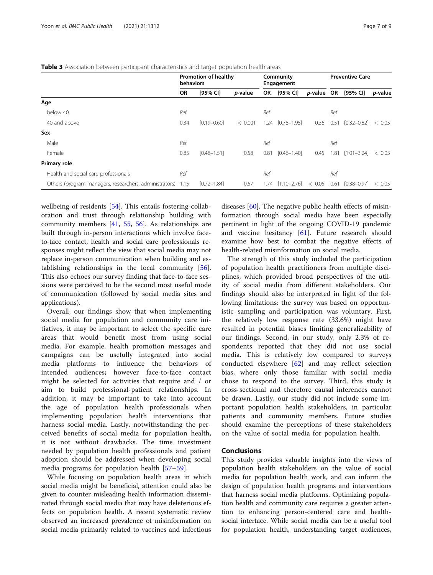#### <span id="page-6-0"></span>**Table 3** Association between participant characteristics and target population health areas

|                                                             | Promotion of healthy<br>behaviors |                 |                 | Community<br>Engagement |                        |                    | <b>Preventive Care</b> |                 |                 |
|-------------------------------------------------------------|-----------------------------------|-----------------|-----------------|-------------------------|------------------------|--------------------|------------------------|-----------------|-----------------|
|                                                             | <b>OR</b>                         | [95% CI]        | <i>p</i> -value | OR.                     | [95% CI]               | <i>p</i> -value OR |                        | [95% CI]        | <i>p</i> -value |
| Age                                                         |                                   |                 |                 |                         |                        |                    |                        |                 |                 |
| below 40                                                    | Ref                               |                 |                 | Ref                     |                        |                    | Ref                    |                 |                 |
| 40 and above                                                | 0.34                              | $[0.19 - 0.60]$ | < 0.001         | 1.24                    | $[0.78 - 1.95]$        | 0.36               | 0.51                   | $[0.32 - 0.82]$ | < 0.05          |
| Sex                                                         |                                   |                 |                 |                         |                        |                    |                        |                 |                 |
| Male                                                        | Ref                               |                 |                 | Ref                     |                        |                    | Ref                    |                 |                 |
| Female                                                      | 0.85                              | $[0.48 - 1.51]$ | 0.58            | 0.81                    | $[0.46 - 1.40]$        | 0.45               | 1.81                   | $[1.01 - 3.24]$ | < 0.05          |
| Primary role                                                |                                   |                 |                 |                         |                        |                    |                        |                 |                 |
| Health and social care professionals                        | Ref                               |                 |                 | Ref                     |                        |                    | Ref                    |                 |                 |
| Others (program managers, researchers, administrators) 1.15 |                                   | $[0.72 - 1.84]$ | 0.57            |                         | $1.74$ $[1.10 - 2.76]$ | < 0.05             | 0.61                   | $[0.38 - 0.97]$ | < 0.05          |

wellbeing of residents [\[54](#page-8-0)]. This entails fostering collaboration and trust through relationship building with community members [\[41](#page-8-0), [55,](#page-8-0) [56](#page-8-0)]. As relationships are built through in-person interactions which involve faceto-face contact, health and social care professionals responses might reflect the view that social media may not replace in-person communication when building and establishing relationships in the local community [\[56](#page-8-0)]. This also echoes our survey finding that face-to-face sessions were perceived to be the second most useful mode of communication (followed by social media sites and applications).

Overall, our findings show that when implementing social media for population and community care initiatives, it may be important to select the specific care areas that would benefit most from using social media. For example, health promotion messages and campaigns can be usefully integrated into social media platforms to influence the behaviors of intended audiences; however face-to-face contact might be selected for activities that require and / or aim to build professional-patient relationships. In addition, it may be important to take into account the age of population health professionals when implementing population health interventions that harness social media. Lastly, notwithstanding the perceived benefits of social media for population health, it is not without drawbacks. The time investment needed by population health professionals and patient adoption should be addressed when developing social media programs for population health [[57](#page-8-0)–[59\]](#page-8-0).

While focusing on population health areas in which social media might be beneficial, attention could also be given to counter misleading health information disseminated through social media that may have deleterious effects on population health. A recent systematic review observed an increased prevalence of misinformation on social media primarily related to vaccines and infectious

diseases [\[60\]](#page-8-0). The negative public health effects of misinformation through social media have been especially pertinent in light of the ongoing COVID-19 pandemic and vaccine hesitancy [[61\]](#page-8-0). Future research should examine how best to combat the negative effects of health-related misinformation on social media.

The strength of this study included the participation of population health practitioners from multiple disciplines, which provided broad perspectives of the utility of social media from different stakeholders. Our findings should also be interpreted in light of the following limitations: the survey was based on opportunistic sampling and participation was voluntary. First, the relatively low response rate (33.6%) might have resulted in potential biases limiting generalizability of our findings. Second, in our study, only 2.3% of respondents reported that they did not use social media. This is relatively low compared to surveys conducted elsewhere [[62\]](#page-8-0) and may reflect selection bias, where only those familiar with social media chose to respond to the survey. Third, this study is cross-sectional and therefore causal inferences cannot be drawn. Lastly, our study did not include some important population health stakeholders, in particular patients and community members. Future studies should examine the perceptions of these stakeholders on the value of social media for population health.

#### **Conclusions**

This study provides valuable insights into the views of population health stakeholders on the value of social media for population health work, and can inform the design of population health programs and interventions that harness social media platforms. Optimizing population health and community care requires a greater attention to enhancing person-centered care and healthsocial interface. While social media can be a useful tool for population health, understanding target audiences,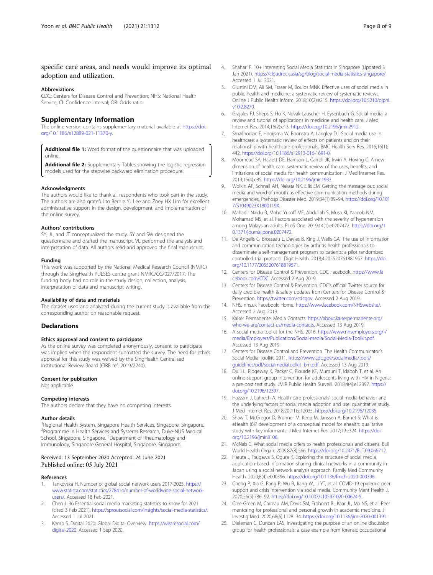#### <span id="page-7-0"></span>specific care areas, and needs would improve its optimal adoption and utilization.

#### Abbreviations

CDC: Centers for Disease Control and Prevention; NHS: National Health Service; CI: Confidence interval; OR: Odds ratio

#### Supplementary Information

The online version contains supplementary material available at [https://doi.](https://doi.org/10.1186/s12889-021-11370-y) [org/10.1186/s12889-021-11370-y](https://doi.org/10.1186/s12889-021-11370-y).

Additional file 1: Word format of the questionnaire that was uploaded online.

Additional file 2: Supplementary Tables showing the logistic regression models used for the stepwise backward elimination procedure.

#### Acknowledgments

The authors would like to thank all respondents who took part in the study. The authors are also grateful to Bernie YJ Lee and Zoey HX Lim for excellent administrative support in the design, development, and implementation of the online survey.

#### Authors' contributions

SY, JL, and JT conceptualized the study. SY and SW designed the questionnaire and drafted the manuscript. VL performed the analysis and interpretation of data. All authors read and approved the final manuscript.

#### Funding

This work was supported by the National Medical Research Council (NMRC) through the SingHealth PULSES centre grant NMRC/CG/027/2017. The funding body had no role in the study design, collection, analysis, interpretation of data and manuscript writing.

#### Availability of data and materials

The dataset used and analyzed during the current study is available from the corresponding author on reasonable request.

#### **Declarations**

#### Ethics approval and consent to participate

As the online survey was completed anonymously, consent to participate was implied when the respondent submitted the survey. The need for ethics approval for this study was waived by the SingHealth Centralised Institutional Review Board (CIRB ref. 2019/2240).

#### Consent for publication

Not applicable.

#### Competing interests

The authors declare that they have no competing interests.

#### Author details

<sup>1</sup> Regional Health System, Singapore Health Services, Singapore, Singapore. <sup>2</sup> Programme in Health Services and Systems Research, Duke-NUS Medical School, Singapore, Singapore. <sup>3</sup>Department of Rheumatology and Immunology, Singapore General Hospital, Singapore, Singapore.

#### Received: 13 September 2020 Accepted: 24 June 2021 Published online: 05 July 2021

#### References

- 1. Tankovska H. Number of global social network users 2017-2025. [https://](https://www.statista.com/statistics/278414/number-of-worldwide-social-network-users/) [www.statista.com/statistics/278414/number-of-worldwide-social-network](https://www.statista.com/statistics/278414/number-of-worldwide-social-network-users/)[users/.](https://www.statista.com/statistics/278414/number-of-worldwide-social-network-users/) Accessed 18 Feb 2021.
- 2. Chen J. 36 Essential social media marketing statistics to know for 2021 (cited 3 Feb 2021). <https://sproutsocial.com/insights/social-media-statistics/>. Accessed 1 Jul 2021.
- 3. Kemp S. Digital 2020: Global Digital Overview. [https://wearesocial.com/](https://wearesocial.com/digital-2020) [digital-2020.](https://wearesocial.com/digital-2020) Accessed 1 Sep 2020.
- 4. Shahari F. 10+ Interesting Social Media Statistics in Singapore (Updated 3 Jan 2021). [https://cloudrock.asia/sg/blog/social-media-statistics-singapore/.](https://cloudrock.asia/sg/blog/social-media-statistics-singapore/) Accessed 1 Jul 2021.
- 5. Giustini DM, Ali SM, Fraser M, Boulos MNK. Effective uses of social media in public health and medicine: a systematic review of systematic reviews. Online J Public Health Inform. 2018;10(2):e215. [https://doi.org/10.5210/ojphi.](https://doi.org/10.5210/ojphi.v10i2.8270) [v10i2.8270](https://doi.org/10.5210/ojphi.v10i2.8270).
- 6. Grajales FJ, Sheps S, Ho K, Novak-Lauscher H, Eysenbach G. Social media: a review and tutorial of applications in medicine and health care. J Med Internet Res. 2014;16(2):e13. <https://doi.org/10.2196/jmir.2912>.
- 7. Smailhodzic E, Hooijsma W, Boonstra A, Langley DJ. Social media use in healthcare: a systematic review of effects on patients and on their relationship with healthcare professionals. BMC Health Serv Res. 2016;16(1): 442. [https://doi.org/10.1186/s12913-016-1691-0.](https://doi.org/10.1186/s12913-016-1691-0)
- 8. Moorhead SA, Hazlett DE, Harrison L, Carroll JK, Irwin A, Hoving C. A new dimension of health care: systematic review of the uses, benefits, and limitations of social media for health communication. J Med Internet Res. 2013;15(4):e85. <https://doi.org/10.2196/jmir.1933>.
- 9. Wolkin AF, Schnall AH, Nakata NK, Ellis EM. Getting the message out: social media and word-of-mouth as effective communication methods during emergencies. Prehosp Disaster Med. 2019;34(1):89–94. [https://doi.org/10.101](https://doi.org/10.1017/S1049023X1800119X) [7/S1049023X1800119X](https://doi.org/10.1017/S1049023X1800119X).
- 10. Mahadir Naidu B, Mohd Yusoff MF, Abdullah S, Musa KI, Yaacob NM, Mohamad MS, et al. Factors associated with the severity of hypertension among Malaysian adults. PLoS One. 2019;14(1):e0207472. [https://doi.org/1](https://doi.org/10.1371/journal.pone.0207472) [0.1371/journal.pone.0207472](https://doi.org/10.1371/journal.pone.0207472).
- 11. De Angelis G, Brosseau L, Davies B, King J, Wells GA. The use of information and communication technologies by arthritis health professionals to disseminate a self-management program to patients: a pilot randomized controlled trial protocol. Digit Health. 2018;4:205520761881957. [https://doi.](https://doi.org/10.1177/2055207618819571) [org/10.1177/2055207618819571.](https://doi.org/10.1177/2055207618819571)
- 12. Centers for Disease Control & Prevention. CDC Facebook. [https://www.fa](https://www.facebook.com/CDC) [cebook.com/CDC.](https://www.facebook.com/CDC) Accessed 2 Aug 2019.
- 13. Centers for Disease Control & Prevention. CDC's official Twitter source for daily credible health & safety updates from Centers for Disease Control & Prevention. <https://twitter.com/cdcgov>. Accessed 2 Aug 2019.
- 14. NHS. nhs.uk Facebook: Home. <https://www.facebook.com/NHSwebsite/>. Accessed 2 Aug 2019.
- 15. Kaiser Permanente. Media Contacts. [https://about.kaiserpermanente.org/](https://about.kaiserpermanente.org/who-we-are/contact-us/media-contacts) [who-we-are/contact-us/media-contacts](https://about.kaiserpermanente.org/who-we-are/contact-us/media-contacts). Accessed 13 Aug 2019.
- 16. A social media toolkit for the NHS. 2016. [https://www.nhsemployers.org/-/](https://www.nhsemployers.org/-/media/Employers/Publications/Social-media/Social-Media-Toolkit.pdf) [media/Employers/Publications/Social-media/Social-Media-Toolkit.pdf.](https://www.nhsemployers.org/-/media/Employers/Publications/Social-media/Social-Media-Toolkit.pdf) Accessed 13 Aug 2019.
- 17. Centers for Disease Control and Prevention. The Health Communicator's Social Media Toolkit. 2011. [https://www.cdc.gov/socialmedia/tools/](https://www.cdc.gov/socialmedia/tools/guidelines/pdf/socialmediatoolkit_bm.pdf) [guidelines/pdf/socialmediatoolkit\\_bm.pdf](https://www.cdc.gov/socialmedia/tools/guidelines/pdf/socialmediatoolkit_bm.pdf). Accessed 13 Aug 2019.
- 18. Dulli L, Ridgeway K, Packer C, Plourde KF, Mumuni T, Idaboh T, et al. An online support group intervention for adolescents living with HIV in Nigeria: a pre-post test study. JMIR Public Health Surveill. 2018;4(4):e12397. [https://](https://doi.org/10.2196/12397) [doi.org/10.2196/12397](https://doi.org/10.2196/12397).
- 19. Hazzam J, Lahrech A. Health care professionals' social media behavior and the underlying factors of social media adoption and use: quantitative study. J Med Internet Res. 2018;20(11):e12035. [https://doi.org/10.2196/12035.](https://doi.org/10.2196/12035)
- 20. Shaw T, McGregor D, Brunner M, Keep M, Janssen A, Barnet S. What is eHealth (6)? development of a conceptual model for ehealth: qualitative study with key informants. J Med Internet Res. 2017;19:e324. [https://doi.](https://doi.org/10.2196/jmir.8106) [org/10.2196/jmir.8106.](https://doi.org/10.2196/jmir.8106)
- 21. McNab C. What social media offers to health professionals and citizens. Bull World Health Organ. 2009;87(8):566. [https://doi.org/10.2471/BLT.09.066712.](https://doi.org/10.2471/BLT.09.066712)
- 22. Haruta J, Tsugawa S, Ogura K. Exploring the structure of social media application-based information-sharing clinical networks in a community in Japan using a social network analysis approach. Family Med Community Health. 2020;8(4):e000396. <https://doi.org/10.1136/fmch-2020-000396>.
- 23. Cheng P, Xia G, Pang P, Wu B, Jiang W, Li YT, et al. COVID-19 epidemic peer support and crisis intervention via social media. Community Ment Health J. 2020;56(5):786–92. <https://doi.org/10.1007/s10597-020-00624-5>.
- 24. Cree-Green M, Carreau AM, Davis SM, Frohnert BI, Kaar JL, Ma NS, et al. Peer mentoring for professional and personal growth in academic medicine. J Investig Med. 2020;68(6):1128–34. <https://doi.org/10.1136/jim-2020-001391>.
- 25. Dieleman C, Duncan EAS. Investigating the purpose of an online discussion group for health professionals: a case example from forensic occupational